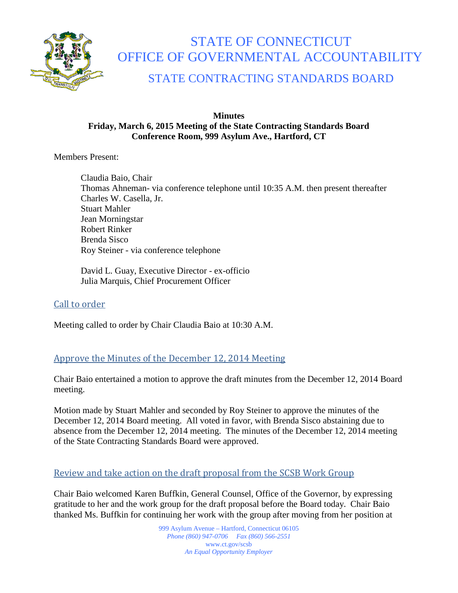

# STATE OF CONNECTICUT OFFICE OF GOVERNMENTAL ACCOUNTABILITY

# STATE CONTRACTING STANDARDS BOARD

#### **Minutes Friday, March 6, 2015 Meeting of the State Contracting Standards Board Conference Room, 999 Asylum Ave., Hartford, CT**

Members Present:

Claudia Baio, Chair Thomas Ahneman- via conference telephone until 10:35 A.M. then present thereafter Charles W. Casella, Jr. Stuart Mahler Jean Morningstar Robert Rinker Brenda Sisco Roy Steiner - via conference telephone

David L. Guay, Executive Director - ex-officio Julia Marquis, Chief Procurement Officer

# Call to order

Meeting called to order by Chair Claudia Baio at 10:30 A.M.

## Approve the Minutes of the December 12, 2014 Meeting

Chair Baio entertained a motion to approve the draft minutes from the December 12, 2014 Board meeting.

Motion made by Stuart Mahler and seconded by Roy Steiner to approve the minutes of the December 12, 2014 Board meeting. All voted in favor, with Brenda Sisco abstaining due to absence from the December 12, 2014 meeting. The minutes of the December 12, 2014 meeting of the State Contracting Standards Board were approved.

## Review and take action on the draft proposal from the SCSB Work Group

Chair Baio welcomed Karen Buffkin, General Counsel, Office of the Governor, by expressing gratitude to her and the work group for the draft proposal before the Board today. Chair Baio thanked Ms. Buffkin for continuing her work with the group after moving from her position at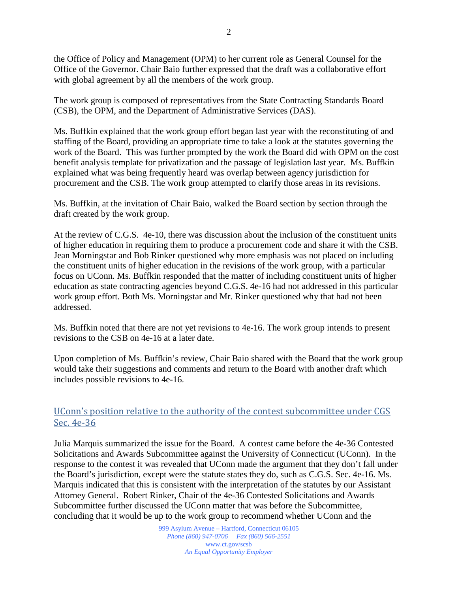the Office of Policy and Management (OPM) to her current role as General Counsel for the Office of the Governor. Chair Baio further expressed that the draft was a collaborative effort with global agreement by all the members of the work group.

The work group is composed of representatives from the State Contracting Standards Board (CSB), the OPM, and the Department of Administrative Services (DAS).

Ms. Buffkin explained that the work group effort began last year with the reconstituting of and staffing of the Board, providing an appropriate time to take a look at the statutes governing the work of the Board. This was further prompted by the work the Board did with OPM on the cost benefit analysis template for privatization and the passage of legislation last year. Ms. Buffkin explained what was being frequently heard was overlap between agency jurisdiction for procurement and the CSB. The work group attempted to clarify those areas in its revisions.

Ms. Buffkin, at the invitation of Chair Baio, walked the Board section by section through the draft created by the work group.

At the review of C.G.S. 4e-10, there was discussion about the inclusion of the constituent units of higher education in requiring them to produce a procurement code and share it with the CSB. Jean Morningstar and Bob Rinker questioned why more emphasis was not placed on including the constituent units of higher education in the revisions of the work group, with a particular focus on UConn. Ms. Buffkin responded that the matter of including constituent units of higher education as state contracting agencies beyond C.G.S. 4e-16 had not addressed in this particular work group effort. Both Ms. Morningstar and Mr. Rinker questioned why that had not been addressed.

Ms. Buffkin noted that there are not yet revisions to 4e-16. The work group intends to present revisions to the CSB on 4e-16 at a later date.

Upon completion of Ms. Buffkin's review, Chair Baio shared with the Board that the work group would take their suggestions and comments and return to the Board with another draft which includes possible revisions to 4e-16.

#### UConn's position relative to the authority of the contest subcommittee under CGS Sec. 4e-36

Julia Marquis summarized the issue for the Board. A contest came before the 4e-36 Contested Solicitations and Awards Subcommittee against the University of Connecticut (UConn). In the response to the contest it was revealed that UConn made the argument that they don't fall under the Board's jurisdiction, except were the statute states they do, such as C.G.S. Sec. 4e-16. Ms. Marquis indicated that this is consistent with the interpretation of the statutes by our Assistant Attorney General. Robert Rinker, Chair of the 4e-36 Contested Solicitations and Awards Subcommittee further discussed the UConn matter that was before the Subcommittee, concluding that it would be up to the work group to recommend whether UConn and the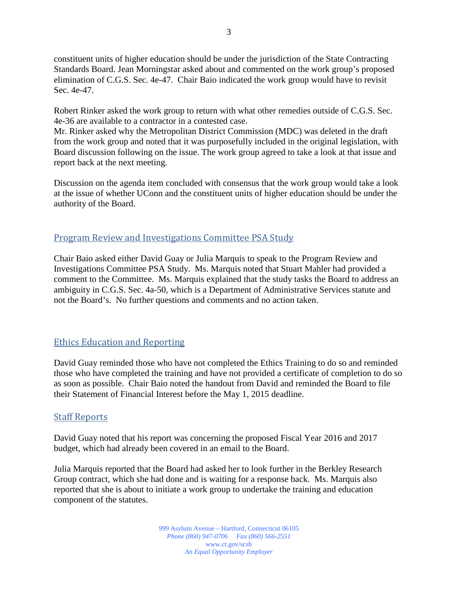constituent units of higher education should be under the jurisdiction of the State Contracting Standards Board. Jean Morningstar asked about and commented on the work group's proposed elimination of C.G.S. Sec. 4e-47. Chair Baio indicated the work group would have to revisit Sec. 4e-47.

Robert Rinker asked the work group to return with what other remedies outside of C.G.S. Sec. 4e-36 are available to a contractor in a contested case.

Mr. Rinker asked why the Metropolitan District Commission (MDC) was deleted in the draft from the work group and noted that it was purposefully included in the original legislation, with Board discussion following on the issue. The work group agreed to take a look at that issue and report back at the next meeting.

Discussion on the agenda item concluded with consensus that the work group would take a look at the issue of whether UConn and the constituent units of higher education should be under the authority of the Board.

#### Program Review and Investigations Committee PSA Study

Chair Baio asked either David Guay or Julia Marquis to speak to the Program Review and Investigations Committee PSA Study. Ms. Marquis noted that Stuart Mahler had provided a comment to the Committee. Ms. Marquis explained that the study tasks the Board to address an ambiguity in C.G.S. Sec. 4a-50, which is a Department of Administrative Services statute and not the Board's. No further questions and comments and no action taken.

#### Ethics Education and Reporting

David Guay reminded those who have not completed the Ethics Training to do so and reminded those who have completed the training and have not provided a certificate of completion to do so as soon as possible. Chair Baio noted the handout from David and reminded the Board to file their Statement of Financial Interest before the May 1, 2015 deadline.

#### Staff Reports

David Guay noted that his report was concerning the proposed Fiscal Year 2016 and 2017 budget, which had already been covered in an email to the Board.

Julia Marquis reported that the Board had asked her to look further in the Berkley Research Group contract, which she had done and is waiting for a response back. Ms. Marquis also reported that she is about to initiate a work group to undertake the training and education component of the statutes.